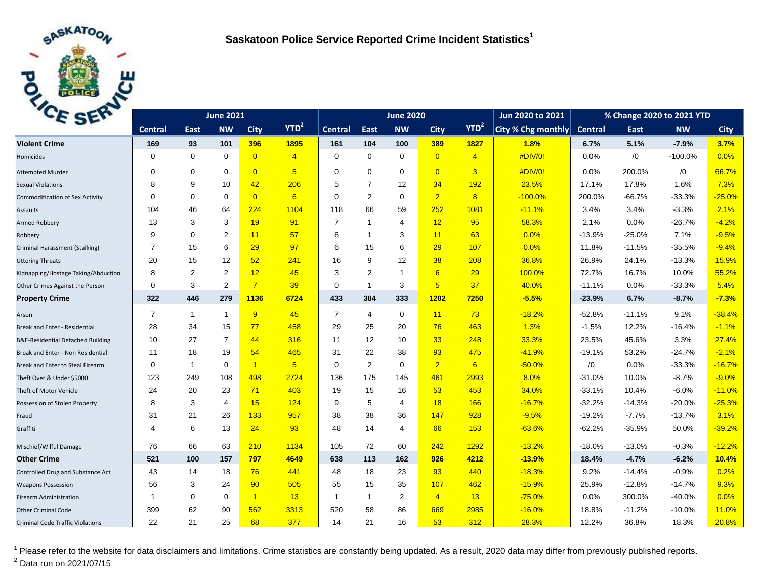

| CE BEL                                       |                | <b>June 2020</b> |                |                |                 |                | Jun 2020 to 2021 | % Change 2020 to 2021 YTD |                 |                |                    |                |          |           |             |
|----------------------------------------------|----------------|------------------|----------------|----------------|-----------------|----------------|------------------|---------------------------|-----------------|----------------|--------------------|----------------|----------|-----------|-------------|
|                                              | <b>Central</b> | East             | <b>NW</b>      | <b>City</b>    | $YTD^2$         | <b>Central</b> | East             | <b>NW</b>                 | <b>City</b>     | $YTD^2$        | City % Chg monthly | <b>Central</b> | East     | <b>NW</b> | <b>City</b> |
| <b>Violent Crime</b>                         | 169            | 93               | 101            | 396            | 1895            | 161            | 104              | 100                       | 389             | 1827           | 1.8%               | 6.7%           | 5.1%     | $-7.9%$   | 3.7%        |
| Homicides                                    | 0              | 0                | 0              | $\overline{0}$ | $\overline{4}$  | $\mathbf 0$    | $\mathbf 0$      | $\mathbf 0$               | $\overline{0}$  | $\overline{4}$ | #DIV/0!            | 0.0%           | /0       | $-100.0%$ | 0.0%        |
| <b>Attempted Murder</b>                      | $\Omega$       | $\mathbf 0$      | $\Omega$       | $\overline{0}$ | $5\overline{)}$ | $\mathbf 0$    | $\mathbf 0$      | $\Omega$                  | $\overline{0}$  | $\overline{3}$ | #DIV/0!            | 0.0%           | 200.0%   | /0        | 66.7%       |
| <b>Sexual Violations</b>                     | 8              | 9                | 10             | 42             | 206             | 5              | $\overline{7}$   | 12                        | 34              | 192            | 23.5%              | 17.1%          | 17.8%    | 1.6%      | 7.3%        |
| Commodification of Sex Activity              | $\mathbf 0$    | $\mathbf 0$      | $\Omega$       | $\overline{0}$ | 6               | $\mathbf 0$    | $\overline{2}$   | $\mathbf 0$               | $\overline{2}$  | 8              | $-100.0%$          | 200.0%         | $-66.7%$ | $-33.3%$  | $-25.0%$    |
| Assaults                                     | 104            | 46               | 64             | 224            | 1104            | 118            | 66               | 59                        | 252             | 1081           | $-11.1%$           | 3.4%           | 3.4%     | $-3.3%$   | 2.1%        |
| <b>Armed Robbery</b>                         | 13             | 3                | 3              | 19             | 91              | $\overline{7}$ | 1                | $\overline{4}$            | 12              | 95             | 58.3%              | 2.1%           | 0.0%     | $-26.7%$  | $-4.2%$     |
| Robbery                                      | 9              | $\mathbf 0$      | 2              | 11             | 57              | 6              | $\mathbf{1}$     | 3                         | 11              | 63             | 0.0%               | $-13.9%$       | $-25.0%$ | 7.1%      | $-9.5%$     |
| Criminal Harassment (Stalking)               | $\overline{7}$ | 15               | 6              | 29             | 97              | 6              | 15               | 6                         | 29              | 107            | 0.0%               | 11.8%          | $-11.5%$ | $-35.5%$  | $-9.4%$     |
| <b>Uttering Threats</b>                      | 20             | 15               | 12             | 52             | 241             | 16             | 9                | 12                        | 38              | 208            | 36.8%              | 26.9%          | 24.1%    | $-13.3%$  | 15.9%       |
| Kidnapping/Hostage Taking/Abduction          | 8              | 2                | 2              | 12             | 45              | 3              | 2                | $\mathbf 1$               | 6               | 29             | 100.0%             | 72.7%          | 16.7%    | 10.0%     | 55.2%       |
| Other Crimes Against the Person              | 0              | 3                | 2              | $\overline{7}$ | 39              | $\Omega$       | $\mathbf{1}$     | 3                         | $5\overline{)}$ | 37             | 40.0%              | $-11.1%$       | 0.0%     | $-33.3%$  | 5.4%        |
| <b>Property Crime</b>                        | 322            | 446              | 279            | 1136           | 6724            | 433            | 384              | 333                       | 1202            | 7250           | $-5.5%$            | $-23.9%$       | 6.7%     | $-8.7%$   | $-7.3%$     |
| Arson                                        | $\overline{7}$ | $\mathbf{1}$     | $\mathbf{1}$   | 9              | 45              | $\overline{7}$ | 4                | $\mathbf 0$               | 11              | 73             | $-18.2%$           | $-52.8%$       | $-11.1%$ | 9.1%      | $-38.4%$    |
| Break and Enter - Residential                | 28             | 34               | 15             | 77             | 458             | 29             | 25               | 20                        | 76              | 463            | 1.3%               | $-1.5%$        | 12.2%    | $-16.4%$  | $-1.1%$     |
| <b>B&amp;E-Residential Detached Building</b> | 10             | 27               | $\overline{7}$ | 44             | 316             | 11             | 12               | 10                        | 33              | 248            | 33.3%              | 23.5%          | 45.6%    | 3.3%      | 27.4%       |
| Break and Enter - Non Residential            | 11             | 18               | 19             | 54             | 465             | 31             | 22               | 38                        | 93              | 475            | $-41.9%$           | $-19.1%$       | 53.2%    | $-24.7%$  | $-2.1%$     |
| Break and Enter to Steal Firearm             | $\mathbf 0$    | $\mathbf{1}$     | $\mathbf 0$    | $\overline{1}$ | $5\overline{)}$ | $\mathbf 0$    | $\overline{2}$   | $\mathbf 0$               | $\overline{2}$  | 6              | $-50.0%$           | /0             | 0.0%     | $-33.3%$  | $-16.7%$    |
| Theft Over & Under \$5000                    | 123            | 249              | 108            | 498            | 2724            | 136            | 175              | 145                       | 461             | 2993           | 8.0%               | $-31.0%$       | 10.0%    | $-8.7%$   | $-9.0%$     |
| Theft of Motor Vehicle                       | 24             | 20               | 23             | 71             | 403             | 19             | 15               | 16                        | 53              | 453            | 34.0%              | $-33.1%$       | 10.4%    | $-6.0%$   | $-11.0%$    |
| Possession of Stolen Property                | 8              | 3                | 4              | 15             | 124             | 9              | 5                | $\overline{4}$            | 18              | 166            | $-16.7%$           | $-32.2%$       | $-14.3%$ | $-20.0%$  | $-25.3%$    |
| Fraud                                        | 31             | 21               | 26             | 133            | 957             | 38             | 38               | 36                        | 147             | 928            | $-9.5%$            | $-19.2%$       | $-7.7%$  | $-13.7%$  | 3.1%        |
| Graffiti                                     | 4              | 6                | 13             | 24             | 93              | 48             | 14               | $\overline{4}$            | 66              | 153            | $-63.6%$           | $-62.2%$       | $-35.9%$ | 50.0%     | $-39.2%$    |
| Mischief/Wilful Damage                       | 76             | 66               | 63             | 210            | 1134            | 105            | 72               | 60                        | 242             | 1292           | $-13.2%$           | $-18.0%$       | $-13.0%$ | $-0.3%$   | $-12.2%$    |
| <b>Other Crime</b>                           | 521            | 100              | 157            | 797            | 4649            | 638            | 113              | 162                       | 926             | 4212           | $-13.9%$           | 18.4%          | $-4.7%$  | $-6.2%$   | 10.4%       |
| Controlled Drug and Substance Act            | 43             | 14               | 18             | 76             | 441             | 48             | 18               | 23                        | 93              | 440            | $-18.3%$           | 9.2%           | $-14.4%$ | $-0.9%$   | 0.2%        |
| <b>Weapons Possession</b>                    | 56             | 3                | 24             | 90             | 505             | 55             | 15               | 35                        | 107             | 462            | $-15.9%$           | 25.9%          | $-12.8%$ | $-14.7%$  | 9.3%        |
| <b>Firearm Administration</b>                | 1              | $\mathbf 0$      | $\mathbf 0$    | $\sqrt{1}$     | 13              | $\mathbf{1}$   | $\mathbf{1}$     | 2                         | $\overline{4}$  | 13             | $-75.0%$           | 0.0%           | 300.0%   | $-40.0%$  | 0.0%        |
| <b>Other Criminal Code</b>                   | 399            | 62               | 90             | 562            | 3313            | 520            | 58               | 86                        | 669             | 2985           | $-16.0%$           | 18.8%          | $-11.2%$ | $-10.0%$  | 11.0%       |
| <b>Criminal Code Traffic Violations</b>      | 22             | 21               | 25             | 68             | 377             | 14             | 21               | 16                        | 53              | 312            | 28.3%              | 12.2%          | 36.8%    | 18.3%     | 20.8%       |

<sup>1</sup> Please refer to the website for data disclaimers and limitations. Crime statistics are constantly being updated. As a result, 2020 data may differ from previously published reports. <sup>2</sup> Data run on 2021/07/15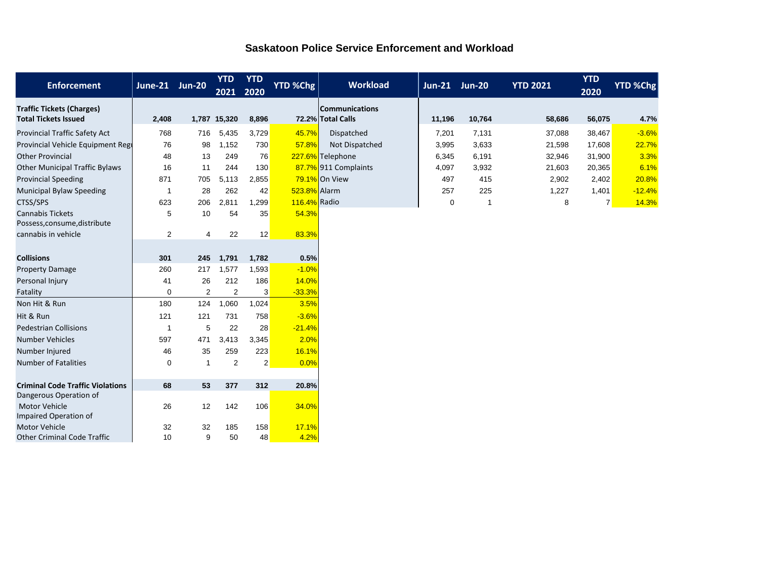| <b>Enforcement</b>                                              | June-21 Jun-20 |     | <b>YTD</b><br>2021 | <b>YTD</b><br>2020 | <b>YTD %Chg</b> | <b>Workload</b>                            | Jun-21 Jun-20 |        | <b>YTD 2021</b> | <b>YTD</b><br>2020 | <b>YTD %Chg</b> |
|-----------------------------------------------------------------|----------------|-----|--------------------|--------------------|-----------------|--------------------------------------------|---------------|--------|-----------------|--------------------|-----------------|
| <b>Traffic Tickets (Charges)</b><br><b>Total Tickets Issued</b> | 2,408          |     | 1,787 15,320       | 8,896              |                 | <b>Communications</b><br>72.2% Total Calls | 11,196        | 10,764 | 58,686          | 56,075             | 4.7%            |
| Provincial Traffic Safety Act                                   | 768            | 716 | 5,435              | 3,729              | 45.7%           | Dispatched                                 | 7,201         | 7,131  | 37,088          | 38,467             | $-3.6%$         |
| Provincial Vehicle Equipment Regi                               | 76             | 98  | 1,152              | 730                | 57.8%           | Not Dispatched                             | 3,995         | 3,633  | 21,598          | 17,608             | 22.7%           |
| <b>Other Provincial</b>                                         | 48             | 13  | 249                | 76                 |                 | 227.6% Telephone                           | 6,345         | 6,191  | 32,946          | 31,900             | 3.3%            |
| <b>Other Municipal Traffic Bylaws</b>                           | 16             | 11  | 244                | 130                |                 | 87.7% 911 Complaints                       | 4,097         | 3,932  | 21,603          | 20,365             | 6.1%            |
| <b>Provincial Speeding</b>                                      | 871            | 705 | 5,113              | 2,855              |                 | 79.1% On View                              | 497           | 415    | 2,902           | 2,402              | 20.8%           |
| Municipal Bylaw Speeding                                        | $\overline{1}$ | 28  | 262                | 42                 | 523.8% Alarm    |                                            | 257           | 225    | 1,227           | 1,401              | $-12.4%$        |
| CTSS/SPS                                                        | 623            | 206 | 2,811              | 1,299              | 116.4% Radio    |                                            | $\mathbf 0$   | -1     | 8               | $\overline{7}$     | 14.3%           |
| <b>Cannabis Tickets</b><br>Possess, consume, distribute         | 5              | 10  | 54                 | 35                 | 54.3%           |                                            |               |        |                 |                    |                 |
| cannabis in vehicle                                             | 2              | 4   | 22                 | 12                 | 83.3%           |                                            |               |        |                 |                    |                 |
|                                                                 |                |     |                    |                    |                 |                                            |               |        |                 |                    |                 |
| <b>Collisions</b>                                               | 301            | 245 | 1,791              | 1,782              | 0.5%            |                                            |               |        |                 |                    |                 |
| <b>Property Damage</b>                                          | 260            | 217 | 1,577              | 1,593              | $-1.0%$         |                                            |               |        |                 |                    |                 |
| Personal Injury                                                 | 41             | 26  | 212                | 186                | 14.0%           |                                            |               |        |                 |                    |                 |
| Fatality                                                        | $\mathbf 0$    | 2   | 2                  | 3                  | $-33.3%$        |                                            |               |        |                 |                    |                 |
| Non Hit & Run                                                   | 180            | 124 | 1,060              | 1,024              | 3.5%            |                                            |               |        |                 |                    |                 |
| Hit & Run                                                       | 121            | 121 | 731                | 758                | $-3.6%$         |                                            |               |        |                 |                    |                 |
| <b>Pedestrian Collisions</b>                                    | 1              | 5   | 22                 | 28                 | $-21.4%$        |                                            |               |        |                 |                    |                 |
| <b>Number Vehicles</b>                                          | 597            | 471 | 3,413              | 3,345              | 2.0%            |                                            |               |        |                 |                    |                 |
| Number Injured                                                  | 46             | 35  | 259                | 223                | 16.1%           |                                            |               |        |                 |                    |                 |
| <b>Number of Fatalities</b>                                     | $\mathbf 0$    | -1  | $\overline{2}$     | $\overline{2}$     | 0.0%            |                                            |               |        |                 |                    |                 |
|                                                                 |                |     |                    |                    |                 |                                            |               |        |                 |                    |                 |
| <b>Criminal Code Traffic Violations</b>                         | 68             | 53  | 377                | 312                | 20.8%           |                                            |               |        |                 |                    |                 |
| Dangerous Operation of                                          |                |     |                    |                    |                 |                                            |               |        |                 |                    |                 |
| <b>Motor Vehicle</b><br>Impaired Operation of                   | 26             | 12  | 142                | 106                | 34.0%           |                                            |               |        |                 |                    |                 |
| <b>Motor Vehicle</b>                                            | 32             | 32  | 185                | 158                | 17.1%           |                                            |               |        |                 |                    |                 |
| <b>Other Criminal Code Traffic</b>                              | 10             | 9   | 50                 | 48                 | 4.2%            |                                            |               |        |                 |                    |                 |

## **Saskatoon Police Service Enforcement and Workload**